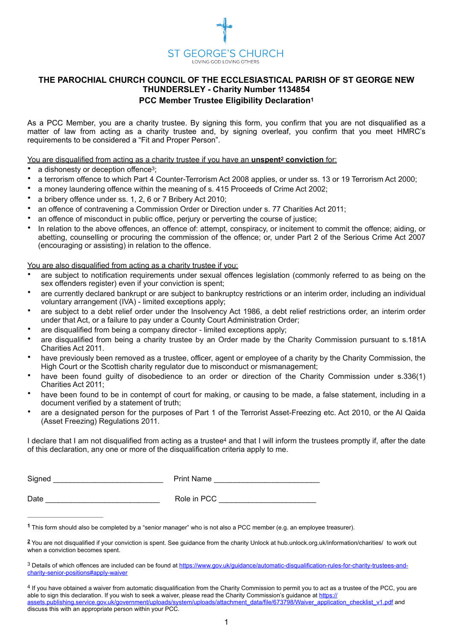<span id="page-0-5"></span><span id="page-0-4"></span>

## **THE PAROCHIAL CHURCH COUNCIL OF THE ECCLESIASTICAL PARISH OF ST GEORGE NEW THUNDERSLEY - Charity Number 1134854 PCC Member Trustee Eligibility Declaratio[n1](#page-0-0)**

As a PCC Member, you are a charity trustee. By signing this form, you confirm that you are not disqualified as a matter of law from acting as a charity trustee and, by signing overleaf, you confirm that you meet HMRC's requirements to be considered a "Fit and Proper Person".

You are disqualified from acting as a charity trustee if you have an **unspent<sup>2</sup> conviction** for:

- <span id="page-0-6"></span>a dishonesty or deception offence<sup>[3](#page-0-2)</sup>;
- a terrorism offence to which Part 4 Counter-Terrorism Act 2008 applies, or under ss. 13 or 19 Terrorism Act 2000;
- a money laundering offence within the meaning of s. 415 Proceeds of Crime Act 2002;
- a bribery offence under ss. 1, 2, 6 or 7 Bribery Act 2010;
- an offence of contravening a Commission Order or Direction under s. 77 Charities Act 2011;
- an offence of misconduct in public office, perjury or perverting the course of justice;
- In relation to the above offences, an offence of: attempt, conspiracy, or incitement to commit the offence; aiding, or abetting, counselling or procuring the commission of the offence; or, under Part 2 of the Serious Crime Act 2007 (encouraging or assisting) in relation to the offence.

You are also disqualified from acting as a charity trustee if you:

- are subject to notification requirements under sexual offences legislation (commonly referred to as being on the sex offenders register) even if your conviction is spent;
- are currently declared bankrupt or are subject to bankruptcy restrictions or an interim order, including an individual voluntary arrangement (IVA) - limited exceptions apply;
- are subject to a debt relief order under the Insolvency Act 1986, a debt relief restrictions order, an interim order under that Act, or a failure to pay under a County Court Administration Order;
- are disqualified from being a company director limited exceptions apply;
- are disqualified from being a charity trustee by an Order made by the Charity Commission pursuant to s.181A Charities Act 2011.
- have previously been removed as a trustee, officer, agent or employee of a charity by the Charity Commission, the High Court or the Scottish charity regulator due to misconduct or mismanagement;
- have been found guilty of disobedience to an order or direction of the Charity Commission under s.336(1) Charities Act 2011;
- have been found to be in contempt of court for making, or causing to be made, a false statement, including in a document verified by a statement of truth;
- are a designated person for the purposes of Part 1 of the Terrorist Asset-Freezing etc. Act 2010, or the Al Qaida (Asset Freezing) Regulations 2011.

<span id="page-0-7"></span>I declar[e](#page-0-3) that I am not disqualified from acting as a trustee<sup>[4](#page-0-3)</sup> and that I will inform the trustees promptly if, after the date of this declaration, any one or more of the disqualification criteria apply to me.

| Signed | <b>Print Name</b> |
|--------|-------------------|
|        |                   |
| Date   | Role in PCC       |

<span id="page-0-0"></span>This form should also be completed by a "senior manager" who is not also a PCC member (e.g. an employee treasurer). **[1](#page-0-4)**

<span id="page-0-1"></span>You are not disqualified if your conviction is spent. See guidance from the charity Unlock at hub.unlock.org.uk/information/charities/ to work out **[2](#page-0-5)** when a conviction becomes spent.

<span id="page-0-2"></span><sup>3</sup> Details of which offences are included can be found at [https://www.gov.uk/guidance/automatic-disqualification-rules-for-charity-trustees-and](https://www.gov.uk/guidance/automatic-disqualification-rules-for-charity-trustees-and-charity-senior-positions#apply-waiver) [charity-senior-positions#apply-waiver](https://www.gov.uk/guidance/automatic-disqualification-rules-for-charity-trustees-and-charity-senior-positions#apply-waiver)

<span id="page-0-3"></span><sup>&</sup>lt;sup>4</sup>If you have obtained a waiver from automatic disqualification from the Charity Commission to permit you to act as a trustee of the PCC, you are able to sign this declaration. If you wish to seek a waiver, please read the Charity Commission's guidance at [https://](https://assets.publishing.service.gov.uk/government/uploads/system/uploads/attachment_data/file/673798/Waiver_application_checklist_v1.pdf) [assets.publishing.service.gov.uk/government/uploads/system/uploads/attachment\\_data/file/673798/Waiver\\_application\\_checklist\\_v1.pdf](https://assets.publishing.service.gov.uk/government/uploads/system/uploads/attachment_data/file/673798/Waiver_application_checklist_v1.pdf) and discuss this with an appropriate person within your PCC.